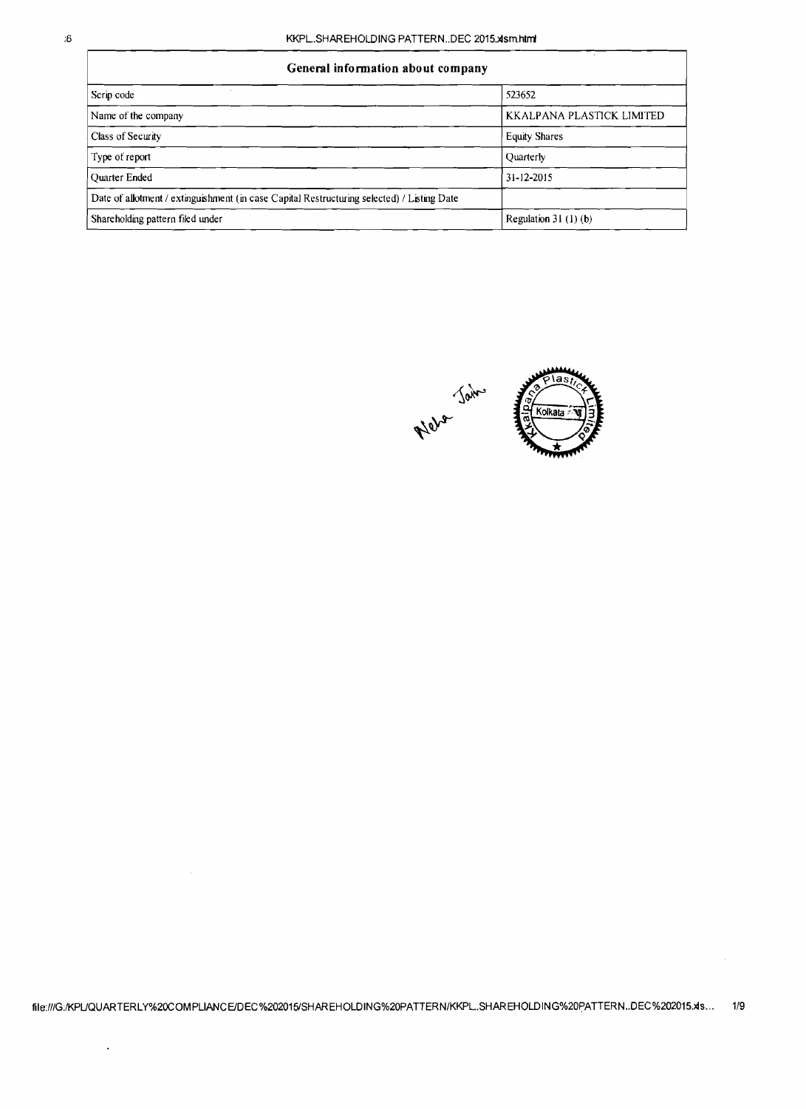$\overline{\phantom{a}}$ 

| General information about company                                                          |                           |
|--------------------------------------------------------------------------------------------|---------------------------|
| Scrip code                                                                                 | 523652                    |
| Name of the company                                                                        | KKALPANA PLASTICK LIMITED |
| Class of Security                                                                          | <b>Equity Shares</b>      |
| Type of report                                                                             | Quarterly                 |
| Quarter Ended                                                                              | $31 - 12 - 2015$          |
| Date of allotment / extinguishment (in case Capital Restructuring selected) / Listing Date |                           |
| Shareholding pattern filed under                                                           | Regulation $31(1)(b)$     |



file:///G:/KPL/QUARTERLY%20COMPLIANCE/DEC%202015/SHAREHOLDING%20PATTERN/KKPL..SHAREHOLDING%20PATTERN..DEC%202015.xls... 1/9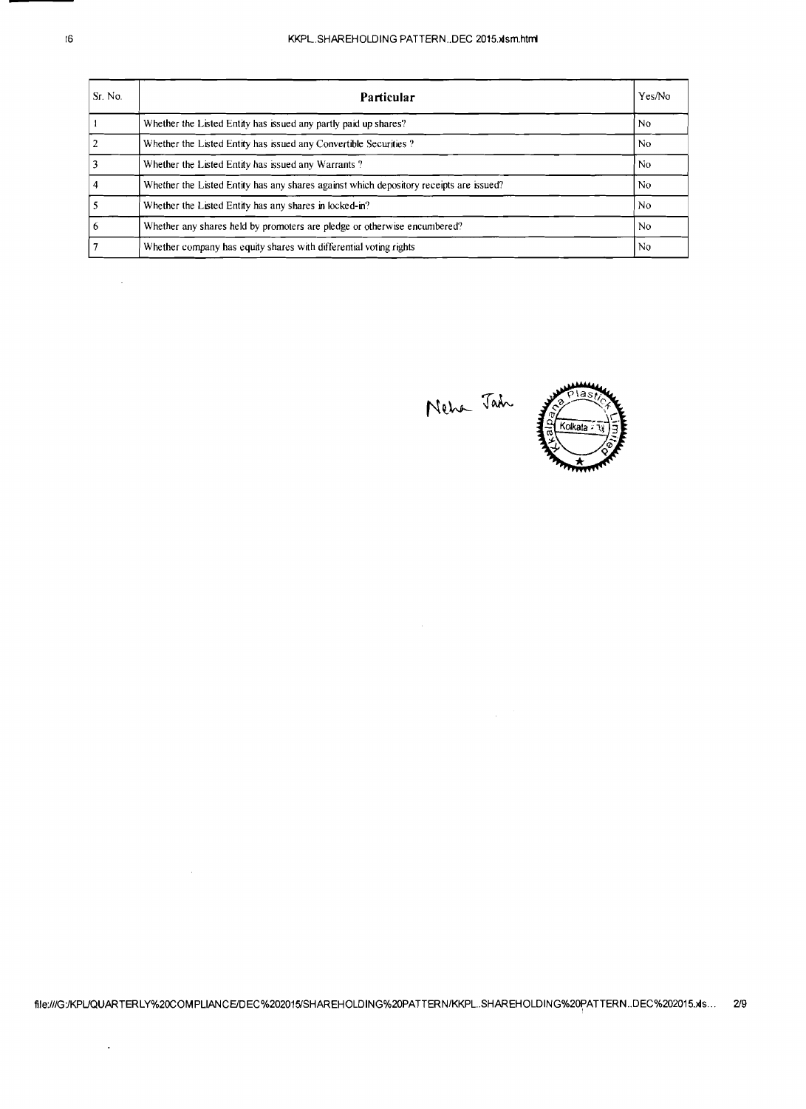| Sr. No. | Particular                                                                             | Yes/No |
|---------|----------------------------------------------------------------------------------------|--------|
|         | Whether the Listed Entity has issued any partly paid up shares?                        | No.    |
|         | Whether the Listed Entity has issued any Convertible Securities?                       | No.    |
|         | Whether the Listed Entity has issued any Warrants?                                     | No.    |
|         | Whether the Listed Entity has any shares against which depository receipts are issued? | No.    |
|         | Whether the Listed Entity has any shares in locked-in?                                 | No     |
| 6       | Whether any shares held by promoters are pledge or otherwise encumbered?               | No     |
|         | Whether company has equity shares with differential voting rights                      | No     |

Neha Jain

 $\bar{z}$ 



 $\mathcal{L}^{\mathcal{L}}$ 

 $\sim$ 

 $\bar{\mathcal{A}}$ 

file:///G:/KPL/QUARTERLY%20COMPLIANCE/DEC%202015/SHAREHOLDING%20PATTERN/KKPL..SHAREHOLDING%20PATTERN..DEC%202015.xls... 2/9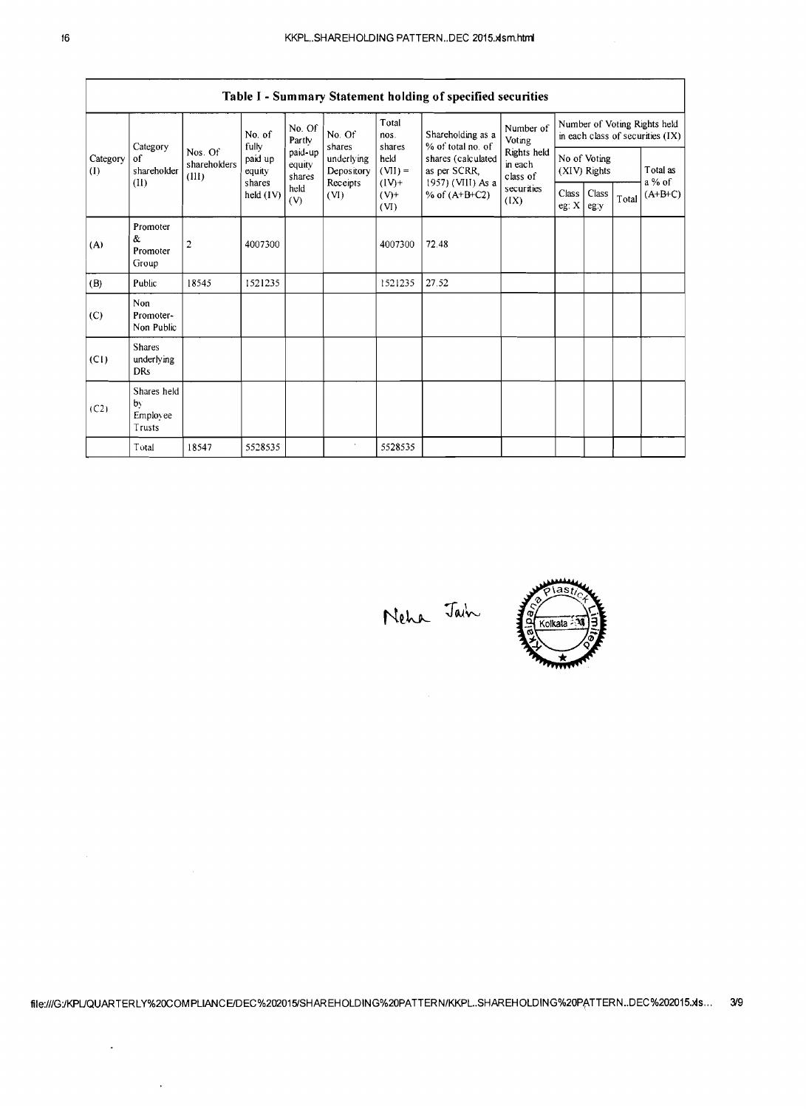| Table I - Summary Statement holding of specified securities |                                         |                                  |                                                             |                                                                |                                      |                                                                            |                                                                                                                      |                                                                                 |                                                                  |               |          |                     |
|-------------------------------------------------------------|-----------------------------------------|----------------------------------|-------------------------------------------------------------|----------------------------------------------------------------|--------------------------------------|----------------------------------------------------------------------------|----------------------------------------------------------------------------------------------------------------------|---------------------------------------------------------------------------------|------------------------------------------------------------------|---------------|----------|---------------------|
| Category<br>Category<br>of<br>(I)<br>(11)                   |                                         |                                  | No. of<br>fully<br>paid up<br>equity<br>shares<br>held (IV) | No. Of<br>Partly<br>paid-up<br>equity<br>shares<br>held<br>(V) | No. Of<br>shares                     | Total<br>nos.<br>shares<br>held<br>$(VII) =$<br>$(1V) +$<br>$(V)+$<br>(VI) | Shareholding as a<br>% of total no. of<br>shares (calculated<br>as per SCRR,<br>1957) (VIII) As a<br>% of $(A+B+C2)$ | Number of<br>Voting<br>Rights held<br>in each<br>class of<br>securities<br>(IX) | Number of Voting Rights held<br>in each class of securities (IX) |               |          |                     |
|                                                             | shareholder                             | Nos. Of<br>shareholders<br>(III) |                                                             |                                                                | underlying<br>Depository<br>Receipts |                                                                            |                                                                                                                      |                                                                                 | No of Voting<br>(XIV) Rights                                     |               | Total as |                     |
|                                                             |                                         |                                  |                                                             |                                                                | (VI)                                 |                                                                            |                                                                                                                      |                                                                                 | Class<br>eg: $X$                                                 | Class<br>eg y | Total    | a % of<br>$(A+B+C)$ |
| (A)                                                         | Promoter<br>&<br>Promoter<br>Group      | $\overline{c}$                   | 4007300                                                     |                                                                |                                      | 4007300                                                                    | 72.48                                                                                                                |                                                                                 |                                                                  |               |          |                     |
| (B)                                                         | Public                                  | 18545                            | 1521235                                                     |                                                                |                                      | 1521235                                                                    | 27.52                                                                                                                |                                                                                 |                                                                  |               |          |                     |
| (C)                                                         | Non<br>Promoter-<br>Non Public          |                                  |                                                             |                                                                |                                      |                                                                            |                                                                                                                      |                                                                                 |                                                                  |               |          |                     |
| (C1)                                                        | <b>Shares</b><br>underlying<br>DRs      |                                  |                                                             |                                                                |                                      |                                                                            |                                                                                                                      |                                                                                 |                                                                  |               |          |                     |
| (C2)                                                        | Shares held<br>bv<br>Employee<br>Trusts |                                  |                                                             |                                                                |                                      |                                                                            |                                                                                                                      |                                                                                 |                                                                  |               |          |                     |
|                                                             | Total                                   | 18547                            | 5528535                                                     |                                                                |                                      | 5528535                                                                    |                                                                                                                      |                                                                                 |                                                                  |               |          |                     |

Neha Jain



file:///G:/KPL/QUARTERLY%20COMPLIANCE/DEC%202015/SHAREHOLDING%20PATTERN/KKPL..SHAREHOLDING%20PATTERN..DEC%202015.xls... 3/9

 $\langle \cdot \rangle$ 

 $\hat{\mathcal{A}}$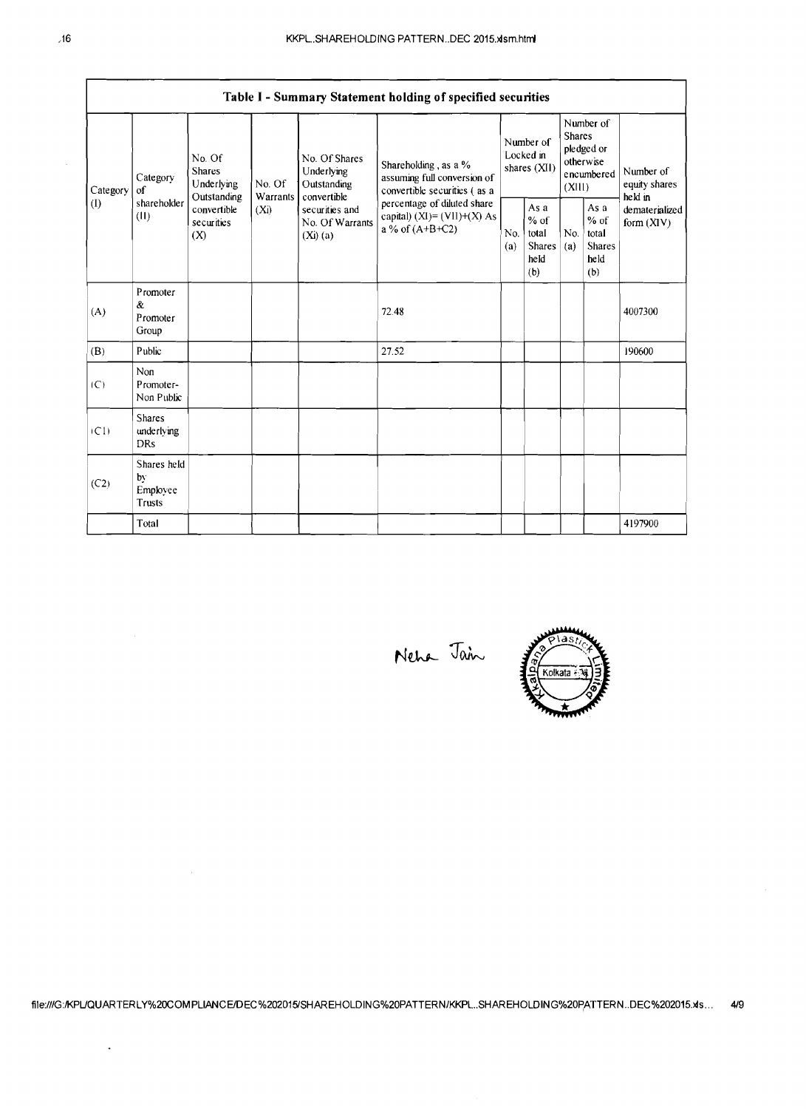|          | Table I - Summary Statement holding of specified securities |                                                 |                                                                                                                                                                          |                                            |                                                                                     |                                        |                                                         |                                                                               |  |                                                                         |
|----------|-------------------------------------------------------------|-------------------------------------------------|--------------------------------------------------------------------------------------------------------------------------------------------------------------------------|--------------------------------------------|-------------------------------------------------------------------------------------|----------------------------------------|---------------------------------------------------------|-------------------------------------------------------------------------------|--|-------------------------------------------------------------------------|
| Category | Category<br>of                                              | No. Of<br><b>Shares</b><br>Underlying           | No. Of                                                                                                                                                                   | No. Of Shares<br>Underlying<br>Outstanding | Shareholding, as a %<br>assuming full conversion of<br>convertible securities (as a | Number of<br>Locked in<br>shares (XII) |                                                         | Number of<br><b>Shares</b><br>pledged or<br>otherwise<br>encumbered<br>(XIII) |  | Number of<br>equity shares<br>held in<br>dematerialized<br>form $(XIV)$ |
| (1)      | shareholder<br>(II)                                         | Outstanding<br>convertible<br>securities<br>(X) | Warrants<br>convertible<br>percentage of diluted share<br>(Xi)<br>securities and<br>capital) $(XI) = (VII)+(X) As$<br>No. Of Warrants<br>a % of $(A+B+C2)$<br>$(Xi)$ (a) | No.<br>(a)                                 | As a<br>$%$ of<br>total<br><b>Shares</b><br>held<br>(b)                             | No.<br>(a)                             | As a<br>$%$ of<br>total<br><b>Shares</b><br>held<br>(b) |                                                                               |  |                                                                         |
| (A)      | Promoter<br>&<br>Promoter<br>Group                          |                                                 |                                                                                                                                                                          |                                            | 72.48                                                                               |                                        |                                                         |                                                                               |  | 4007300                                                                 |
| (B)      | Public                                                      |                                                 |                                                                                                                                                                          |                                            | 27.52                                                                               |                                        |                                                         |                                                                               |  | 190600                                                                  |
| (C)      | Non<br>Promoter-<br>Non Public                              |                                                 |                                                                                                                                                                          |                                            |                                                                                     |                                        |                                                         |                                                                               |  |                                                                         |
| (C1)     | Shares<br>underlying<br><b>DRs</b>                          |                                                 |                                                                                                                                                                          |                                            |                                                                                     |                                        |                                                         |                                                                               |  |                                                                         |
| (C2)     | Shares held<br>bv<br>Employee<br><b>Trusts</b>              |                                                 |                                                                                                                                                                          |                                            |                                                                                     |                                        |                                                         |                                                                               |  |                                                                         |
|          | Total                                                       |                                                 |                                                                                                                                                                          |                                            |                                                                                     |                                        |                                                         |                                                                               |  | 4197900                                                                 |

Neha Jain



 $\alpha$ 

 $\ddot{\phantom{1}}$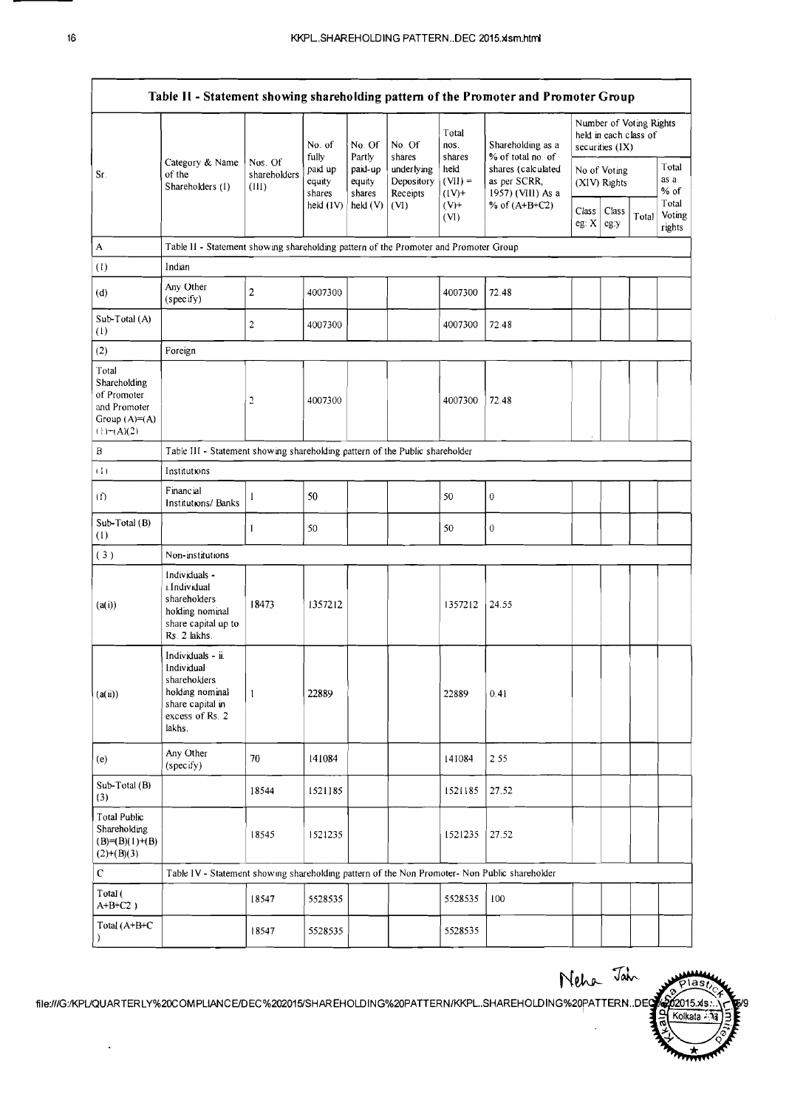|                                                                                        |                                                                                                                     |                                  |                                                |                                                 |                                                          |                                                          | Table II - Statement showing shareholding pattern of the Promoter and Promoter Group                                 |                                                                     |                         |       |                           |
|----------------------------------------------------------------------------------------|---------------------------------------------------------------------------------------------------------------------|----------------------------------|------------------------------------------------|-------------------------------------------------|----------------------------------------------------------|----------------------------------------------------------|----------------------------------------------------------------------------------------------------------------------|---------------------------------------------------------------------|-------------------------|-------|---------------------------|
| $S_{\Gamma}$                                                                           | Category & Name<br>of the<br>Shareholders (1)                                                                       |                                  | No. of<br>fully<br>paid up<br>equity<br>shares | No. Of<br>Partly<br>paid-up<br>equity<br>shares | No. Of<br>shares<br>underlying<br>Depository<br>Receipts | Total<br>nos.<br>shares<br>held<br>$(VII) =$<br>$(1V) +$ | Shareholding as a<br>% of total no. of<br>shares (calculated<br>as per SCRR,<br>1957) (VIII) As a<br>% of $(A+B+C2)$ | Number of Voting Rights<br>held in each class of<br>securities (IX) |                         |       |                           |
|                                                                                        |                                                                                                                     | Nos. Of<br>shareholders<br>(III) |                                                |                                                 |                                                          |                                                          |                                                                                                                      | No of Voting<br>(XIV) Rights                                        | Total<br>as a<br>$%$ of |       |                           |
|                                                                                        |                                                                                                                     |                                  | held $(IV)$                                    | held(V)                                         | (VI)                                                     | $(V)$ +<br>(VI)                                          |                                                                                                                      | Class<br>eg: $X$                                                    | Class<br>eg:y           | Total | Total<br>Voting<br>rights |
| $\mathbf{A}$                                                                           | Table II - Statement showing shareholding pattern of the Promoter and Promoter Group                                |                                  |                                                |                                                 |                                                          |                                                          |                                                                                                                      |                                                                     |                         |       |                           |
| (1)                                                                                    | Indian                                                                                                              |                                  |                                                |                                                 |                                                          |                                                          |                                                                                                                      |                                                                     |                         |       |                           |
| (d)                                                                                    | Any Other<br>(specify)                                                                                              | 2                                | 4007300                                        |                                                 |                                                          | 4007300                                                  | 72.48                                                                                                                |                                                                     |                         |       |                           |
| Sub-Total (A)<br>(1)                                                                   |                                                                                                                     | $\overline{c}$                   | 4007300                                        |                                                 |                                                          | 4007300                                                  | 72.48                                                                                                                |                                                                     |                         |       |                           |
| (2)                                                                                    | Foreign                                                                                                             |                                  |                                                |                                                 |                                                          |                                                          |                                                                                                                      |                                                                     |                         |       |                           |
| Total<br>Shareholding<br>of Promoter<br>and Promoter<br>Group $(A)=A)$<br>$(1)-(A)(2)$ |                                                                                                                     | 2                                | 4007300                                        |                                                 |                                                          | 4007300                                                  | 72.48                                                                                                                |                                                                     |                         |       |                           |
| $\, {\bf B}$                                                                           | Table III - Statement showing shareholding pattern of the Public shareholder                                        |                                  |                                                |                                                 |                                                          |                                                          |                                                                                                                      |                                                                     |                         |       |                           |
| (1)                                                                                    | Institutions                                                                                                        |                                  |                                                |                                                 |                                                          |                                                          |                                                                                                                      |                                                                     |                         |       |                           |
| (f)                                                                                    | Financial<br>Institutions/Banks                                                                                     | 1                                | 50                                             |                                                 |                                                          | 50                                                       | 0                                                                                                                    |                                                                     |                         |       |                           |
| Sub-Total (B)<br>(1)                                                                   |                                                                                                                     | $\mathbf{1}$                     | 50                                             |                                                 |                                                          | 50                                                       | $\mathbf 0$                                                                                                          |                                                                     |                         |       |                           |
| (3)                                                                                    | Non-institutions                                                                                                    |                                  |                                                |                                                 |                                                          |                                                          |                                                                                                                      |                                                                     |                         |       |                           |
| (a(i))                                                                                 | Individuals -<br>i Individual<br>shareholders<br>holding nominal<br>share capital up to<br>Rs. 2 lakhs.             | 18473                            | 1357212                                        |                                                 |                                                          | 1357212                                                  | 24.55                                                                                                                |                                                                     |                         |       |                           |
| $(a(\mathbf{u}))$                                                                      | Individuals - ii.<br>Individual<br>shareholders<br>holding nominal<br>share capital in<br>excess of Rs. 2<br>lakhs. | $\mathbf{I}$                     | 22889                                          |                                                 |                                                          | 22889                                                    | 0.41                                                                                                                 |                                                                     |                         |       |                           |
| (e)                                                                                    | Any Other<br>(specify)                                                                                              | $70\,$                           | 141084                                         |                                                 |                                                          | 141084                                                   | 2.55                                                                                                                 |                                                                     |                         |       |                           |
| Sub-Total (B)<br>(3)                                                                   |                                                                                                                     | 18544                            | 1521185                                        |                                                 |                                                          | 1521185                                                  | 27.52                                                                                                                |                                                                     |                         |       |                           |
| Total Public<br>Shareholding<br>$(B)=(B)(1)+(B)$<br>$(2)+(B)(3)$                       |                                                                                                                     | 18545                            | 1521235                                        |                                                 |                                                          | 1521235                                                  | 27.52                                                                                                                |                                                                     |                         |       |                           |
| $\mathsf C$                                                                            | Table IV - Statement showing shareholding pattern of the Non Promoter- Non Public shareholder                       |                                  |                                                |                                                 |                                                          |                                                          |                                                                                                                      |                                                                     |                         |       |                           |
| Total (<br>$A+B+C2$ )                                                                  |                                                                                                                     | 18547                            | 5528535                                        |                                                 |                                                          | 5528535                                                  | 100                                                                                                                  |                                                                     |                         |       |                           |
| Total (A+B+C<br>ì                                                                      |                                                                                                                     | 18547                            | 5528535                                        |                                                 |                                                          | 5528535                                                  |                                                                                                                      |                                                                     |                         |       |                           |

file:///G:/KPL/QUARTERLY%20COMPLIANCE/DEC%202015/SHAREHOLDING%20PATTERN/KKPL..SHAREHOLDING%20PATTERN..DEQ

 $\ddot{\phantom{0}}$ 

Neha Jah

2015.xls. Kolkata - 13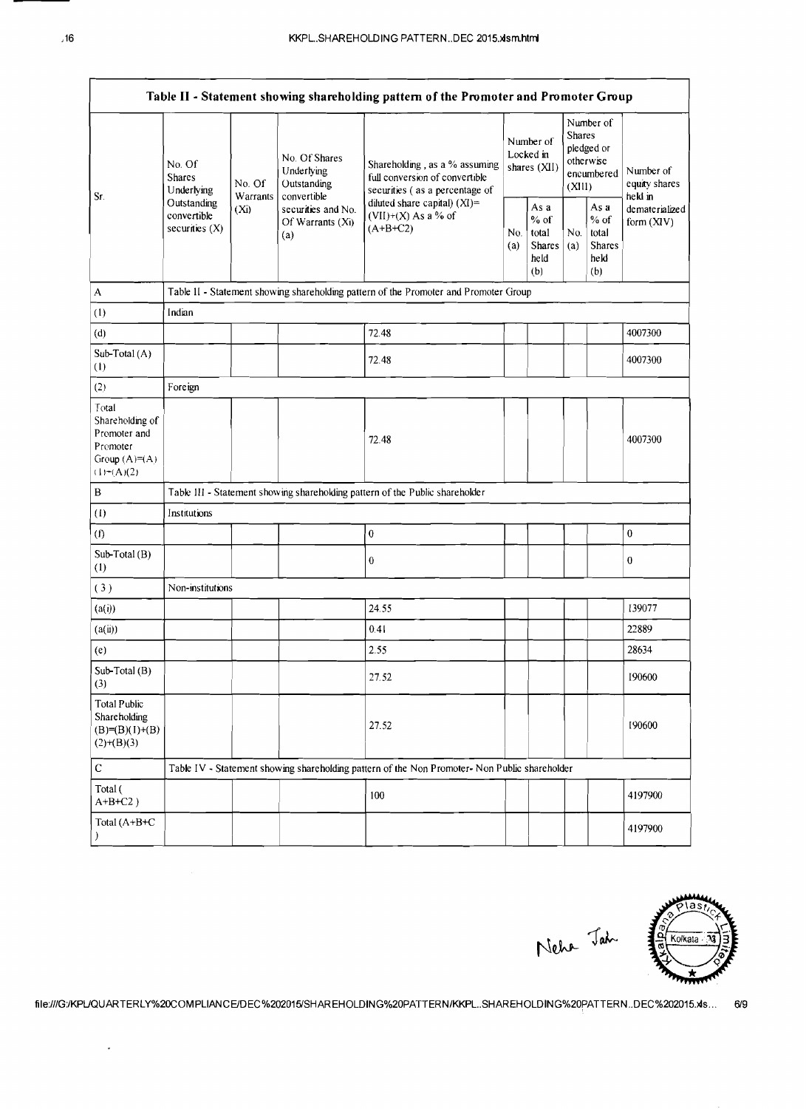|                                                                                              |                                                                                         |                               |                                                                                                            | Table II - Statement showing shareholding pattern of the Promoter and Promoter Group              |            |                                                         |            |                                                                               |                                           |
|----------------------------------------------------------------------------------------------|-----------------------------------------------------------------------------------------|-------------------------------|------------------------------------------------------------------------------------------------------------|---------------------------------------------------------------------------------------------------|------------|---------------------------------------------------------|------------|-------------------------------------------------------------------------------|-------------------------------------------|
| Sr.                                                                                          | No. Of<br><b>Shares</b><br>Underlying<br>Outstanding<br>convertible<br>securities $(X)$ | No. Of<br>Warrants<br>$(X_i)$ | No. Of Shares<br>Underlying<br>Outstanding<br>convertible<br>securities and No.<br>Of Warrants (Xi)<br>(a) | Shareholding, as a % assuming<br>full conversion of convertible<br>securities (as a percentage of |            | Number of<br>Locked in<br>shares (XII)                  |            | Number of<br><b>Shares</b><br>pledged or<br>otherwise<br>encumbered<br>(X111) | Number of<br>equity shares                |
|                                                                                              |                                                                                         |                               |                                                                                                            | diluted share capital) $(XI)$ =<br>$(VII)+(X)$ As a % of<br>$(A+B+C2)$                            | No.<br>(a) | As a<br>$%$ of<br>total<br><b>Shares</b><br>held<br>(b) | No.<br>(a) | As a<br>$%$ of<br>total<br><b>Shares</b><br>held<br>(b)                       | held in<br>dematerialized<br>form $(XIV)$ |
| А                                                                                            |                                                                                         |                               |                                                                                                            | Table II - Statement showing shareholding pattern of the Promoter and Promoter Group              |            |                                                         |            |                                                                               |                                           |
| (1)                                                                                          | Indian                                                                                  |                               |                                                                                                            |                                                                                                   |            |                                                         |            |                                                                               |                                           |
| (d)                                                                                          |                                                                                         |                               |                                                                                                            | 72.48                                                                                             |            |                                                         |            |                                                                               | 4007300                                   |
| $Sub-Total(A)$<br>$\left( \mathbf{I}\right)$                                                 |                                                                                         |                               |                                                                                                            | 72.48                                                                                             |            |                                                         |            |                                                                               | 4007300                                   |
| (2)                                                                                          | Foreign                                                                                 |                               |                                                                                                            |                                                                                                   |            |                                                         |            |                                                                               |                                           |
| Total<br>Shareholding of<br>Promoter and<br>Promoter<br>Group $(A)\equiv(A)$<br>$(1)+(A)(2)$ |                                                                                         |                               |                                                                                                            | 72.48                                                                                             |            |                                                         |            |                                                                               | 4007300                                   |
| $\, {\bf B}$                                                                                 |                                                                                         |                               |                                                                                                            | Table III - Statement showing shareholding pattern of the Public shareholder                      |            |                                                         |            |                                                                               |                                           |
| (1)                                                                                          | Institutions                                                                            |                               |                                                                                                            |                                                                                                   |            |                                                         |            |                                                                               |                                           |
| (f)                                                                                          |                                                                                         |                               |                                                                                                            | $\boldsymbol{0}$                                                                                  |            |                                                         |            |                                                                               | $\pmb{0}$                                 |
| Sub-Total (B)<br>(1)                                                                         |                                                                                         |                               |                                                                                                            | 0                                                                                                 |            |                                                         |            |                                                                               | $\bf{0}$                                  |
| (3)                                                                                          | Non-institutions                                                                        |                               |                                                                                                            |                                                                                                   |            |                                                         |            |                                                                               |                                           |
| (a(i))                                                                                       |                                                                                         |                               |                                                                                                            | 24.55                                                                                             |            |                                                         |            |                                                                               | 139077                                    |
| (a(ii))                                                                                      |                                                                                         |                               |                                                                                                            | 0.41                                                                                              |            |                                                         |            |                                                                               | 22889                                     |
| (e)                                                                                          |                                                                                         |                               |                                                                                                            | 2.55                                                                                              |            |                                                         |            |                                                                               | 28634                                     |
| Sub-Total (B)<br>(3)                                                                         |                                                                                         |                               |                                                                                                            | 27.52                                                                                             |            |                                                         |            |                                                                               | 190600                                    |
| <b>Total Public</b><br>Shareholding<br>$(B)=(B)(I)+(B)$<br>$(2)+(B)(3)$                      |                                                                                         |                               |                                                                                                            | 27.52                                                                                             |            |                                                         |            |                                                                               | 190600                                    |
| $\mathbf C$                                                                                  |                                                                                         |                               |                                                                                                            | Table IV - Statement showing shareholding pattern of the Non Promoter- Non Public shareholder     |            |                                                         |            |                                                                               |                                           |
| Total (<br>$A+B+C2$ )                                                                        |                                                                                         |                               |                                                                                                            | 100                                                                                               |            |                                                         |            |                                                                               | 4197900                                   |
| Total (A+B+C<br>$\mathcal{C}$                                                                |                                                                                         |                               |                                                                                                            |                                                                                                   |            |                                                         |            |                                                                               | 4197900                                   |

Neha Jah Kolkata

file:///G:/KPL/QUARTERLY%20COMPLIANCE/DEC%202015/SHAREHOLDING%20PATTERN/KKPL..SHAREHOLDING%20PATTERN..DEC%202015.xls... 6/9

 $\ddot{\phantom{0}}$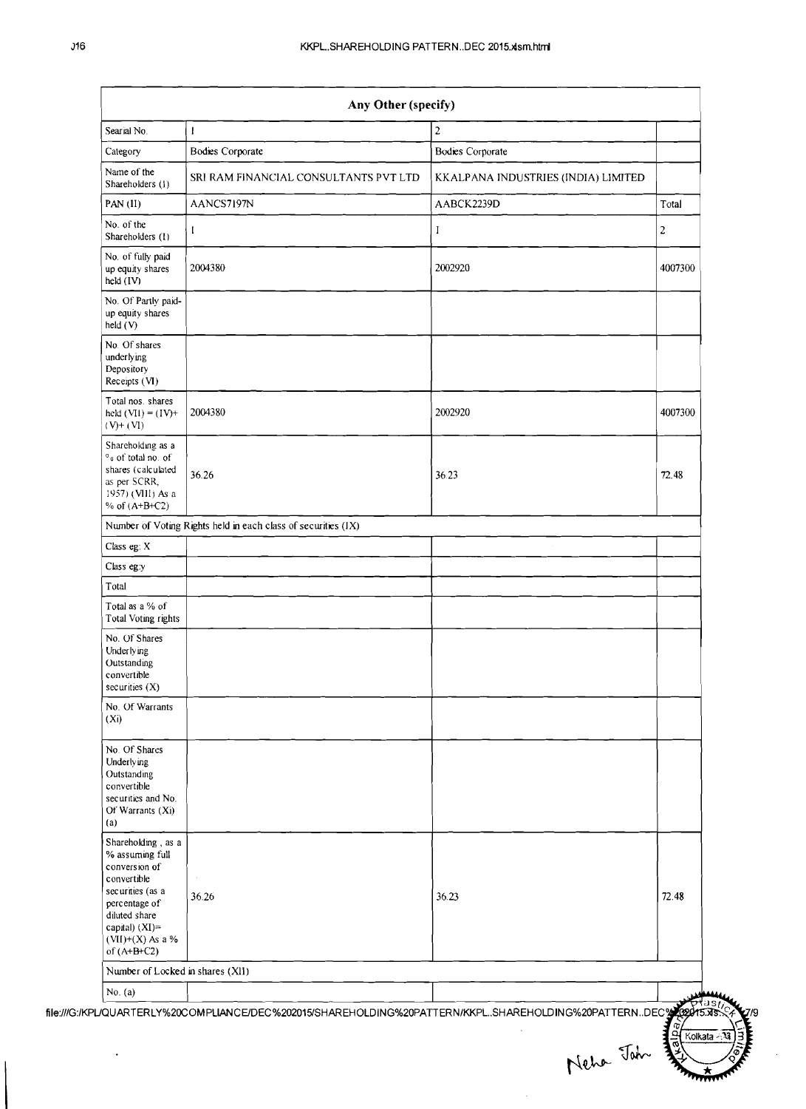|                                                                                                                                                                                         | Any Other (specify)                                           |                                     |                |
|-----------------------------------------------------------------------------------------------------------------------------------------------------------------------------------------|---------------------------------------------------------------|-------------------------------------|----------------|
| Searial No.                                                                                                                                                                             | $\mathbf{I}$                                                  | $\overline{c}$                      |                |
| Category                                                                                                                                                                                | <b>Bodies Corporate</b>                                       | <b>Bodies Corporate</b>             |                |
| Name of the<br>Shareholders (1)                                                                                                                                                         | SRI RAM FINANCIAL CONSULTANTS PVT LTD                         | KKALPANA INDUSTRIES (INDIA) LIMITED |                |
| PAN (II)                                                                                                                                                                                | AANCS7197N                                                    | AABCK2239D                          | Total          |
| No. of the<br>Shareholders (1)                                                                                                                                                          | T                                                             | I                                   | $\overline{c}$ |
| No. of fully paid<br>up equity shares<br>held (IV)                                                                                                                                      | 2004380                                                       | 2002920                             | 4007300        |
| No. Of Partly paid-<br>up equity shares<br>held (V)                                                                                                                                     |                                                               |                                     |                |
| No. Of shares<br>underlying<br>Depository<br>Receipts (VI)                                                                                                                              |                                                               |                                     |                |
| Total nos. shares<br>held $(VII) = (IV) +$<br>$(V) + (VI)$                                                                                                                              | 2004380                                                       | 2002920                             | 4007300        |
| Shareholding as a<br>% of total no. of<br>shares (calculated<br>as per SCRR,<br>1957) (VIII) As a<br>% of $(A+B+C2)$                                                                    | 36.26                                                         | 36.23                               | 72.48          |
|                                                                                                                                                                                         | Number of Voting Rights held in each class of securities (IX) |                                     |                |
| Class eg: X                                                                                                                                                                             |                                                               |                                     |                |
| Class eg:y                                                                                                                                                                              |                                                               |                                     |                |
| Total                                                                                                                                                                                   |                                                               |                                     |                |
| Total as a % of<br><b>Total Voting rights</b>                                                                                                                                           |                                                               |                                     |                |
| No. Of Shares<br>Underlying<br>Outstanding<br>convertible<br>securities (X)                                                                                                             |                                                               |                                     |                |
| No. Of Warrants<br>(X <sub>i</sub> )                                                                                                                                                    |                                                               |                                     |                |
| No. Of Shares<br>Underlying<br>Outstanding<br>convertible<br>securities and No.<br>Of Warrants (Xi)<br>(a)                                                                              |                                                               |                                     |                |
| Shareholding, as a<br>% assuming full<br>conversion of<br>convertible<br>securities (as a<br>percentage of<br>diluted share<br>capital) $(XI)$ =<br>$(VII)+(X)$ As a %<br>of $(A+B+C2)$ | 36.26                                                         | 36.23                               | 72.48          |
| Number of Locked in shares (XII)                                                                                                                                                        |                                                               |                                     |                |
| No. $(a)$                                                                                                                                                                               |                                                               |                                     |                |

file:///G:/KPL/QUARTERLY%20COMPLIANCE/DEC%202015/SHAREHOLDING%20PATTERN/KKPL..SHAREHOLDING%20PATTERN..DEC%

Kolkata -

Neha Jah

 $\ddot{\phantom{0}}$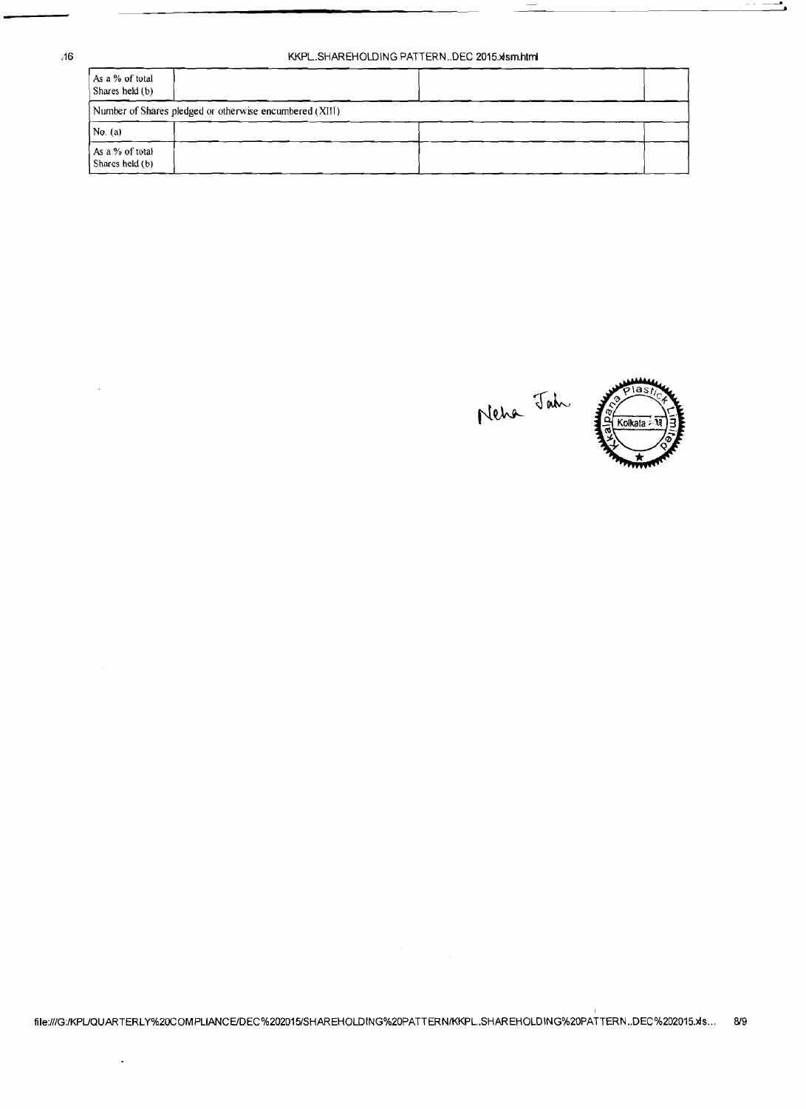$\overline{\phantom{a}}$ 

## KKPL..SHAREHOLDING PATTERN..DEC 2015.xlsm.html

| As a % of total<br>Shares held (b) |                                                         |  |
|------------------------------------|---------------------------------------------------------|--|
|                                    | Number of Shares pledged or otherwise encumbered (XIII) |  |
| No. $(a)$                          |                                                         |  |
| As a % of total<br>Shares held (b) |                                                         |  |

Neha Jah Kolkata - 13

file:///G:/KPL/QUARTERLY%20COMPLIANCE/DEC%202015/SHAREHOLDING%20PATTERN/KKPL.SHAREHOLDING%20PATTERN..DEC%202015.xls... 8/9